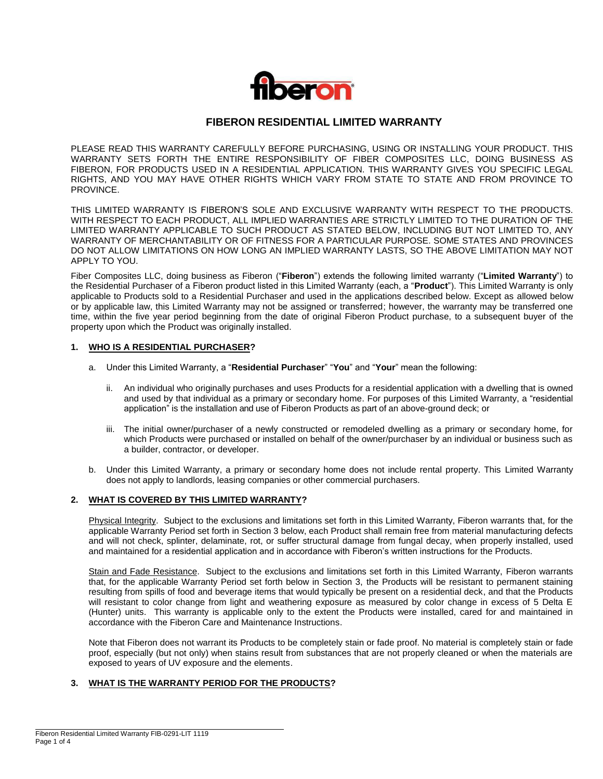

# **FIBERON RESIDENTIAL LIMITED WARRANTY**

PLEASE READ THIS WARRANTY CAREFULLY BEFORE PURCHASING, USING OR INSTALLING YOUR PRODUCT. THIS WARRANTY SETS FORTH THE ENTIRE RESPONSIBILITY OF FIBER COMPOSITES LLC, DOING BUSINESS AS FIBERON, FOR PRODUCTS USED IN A RESIDENTIAL APPLICATION. THIS WARRANTY GIVES YOU SPECIFIC LEGAL RIGHTS, AND YOU MAY HAVE OTHER RIGHTS WHICH VARY FROM STATE TO STATE AND FROM PROVINCE TO PROVINCE.

THIS LIMITED WARRANTY IS FIBERON'S SOLE AND EXCLUSIVE WARRANTY WITH RESPECT TO THE PRODUCTS. WITH RESPECT TO EACH PRODUCT, ALL IMPLIED WARRANTIES ARE STRICTLY LIMITED TO THE DURATION OF THE LIMITED WARRANTY APPLICABLE TO SUCH PRODUCT AS STATED BELOW, INCLUDING BUT NOT LIMITED TO, ANY WARRANTY OF MERCHANTABILITY OR OF FITNESS FOR A PARTICULAR PURPOSE. SOME STATES AND PROVINCES DO NOT ALLOW LIMITATIONS ON HOW LONG AN IMPLIED WARRANTY LASTS, SO THE ABOVE LIMITATION MAY NOT APPLY TO YOU.

Fiber Composites LLC, doing business as Fiberon ("**Fiberon**") extends the following limited warranty ("**Limited Warranty**") to the Residential Purchaser of a Fiberon product listed in this Limited Warranty (each, a "**Product**"). This Limited Warranty is only applicable to Products sold to a Residential Purchaser and used in the applications described below. Except as allowed below or by applicable law, this Limited Warranty may not be assigned or transferred; however, the warranty may be transferred one time, within the five year period beginning from the date of original Fiberon Product purchase, to a subsequent buyer of the property upon which the Product was originally installed.

### **1. WHO IS A RESIDENTIAL PURCHASER?**

- a. Under this Limited Warranty, a "**Residential Purchaser**" "**You**" and "**Your**" mean the following:
	- ii. An individual who originally purchases and uses Products for a residential application with a dwelling that is owned and used by that individual as a primary or secondary home. For purposes of this Limited Warranty, a "residential application" is the installation and use of Fiberon Products as part of an above-ground deck; or
	- iii. The initial owner/purchaser of a newly constructed or remodeled dwelling as a primary or secondary home, for which Products were purchased or installed on behalf of the owner/purchaser by an individual or business such as a builder, contractor, or developer.
- b. Under this Limited Warranty, a primary or secondary home does not include rental property. This Limited Warranty does not apply to landlords, leasing companies or other commercial purchasers.

### **2. WHAT IS COVERED BY THIS LIMITED WARRANTY?**

Physical Integrity. Subject to the exclusions and limitations set forth in this Limited Warranty, Fiberon warrants that, for the applicable Warranty Period set forth in Section 3 below, each Product shall remain free from material manufacturing defects and will not check, splinter, delaminate, rot, or suffer structural damage from fungal decay, when properly installed, used and maintained for a residential application and in accordance with Fiberon's written instructions for the Products.

Stain and Fade Resistance. Subject to the exclusions and limitations set forth in this Limited Warranty, Fiberon warrants that, for the applicable Warranty Period set forth below in Section 3, the Products will be resistant to permanent staining resulting from spills of food and beverage items that would typically be present on a residential deck, and that the Products will resistant to color change from light and weathering exposure as measured by color change in excess of 5 Delta E (Hunter) units. This warranty is applicable only to the extent the Products were installed, cared for and maintained in accordance with the Fiberon Care and Maintenance Instructions.

Note that Fiberon does not warrant its Products to be completely stain or fade proof. No material is completely stain or fade proof, especially (but not only) when stains result from substances that are not properly cleaned or when the materials are exposed to years of UV exposure and the elements.

### **3. WHAT IS THE WARRANTY PERIOD FOR THE PRODUCTS?**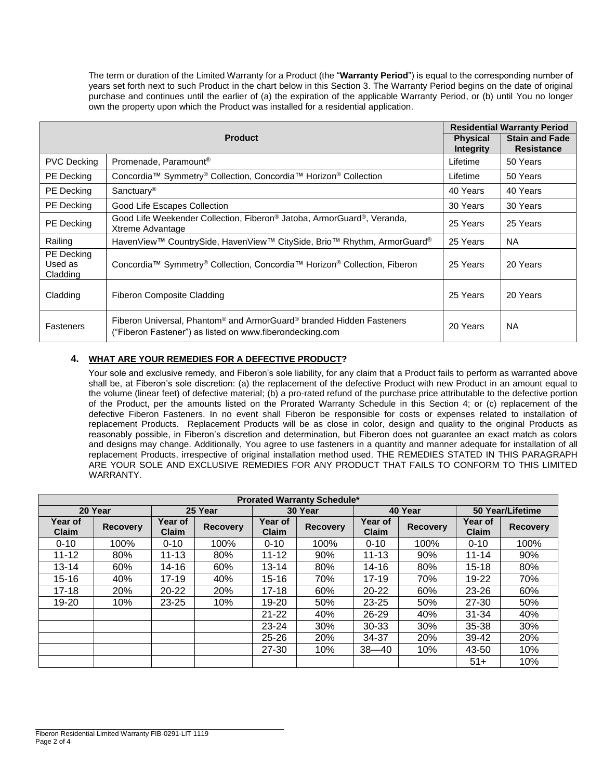The term or duration of the Limited Warranty for a Product (the "**Warranty Period**") is equal to the corresponding number of years set forth next to such Product in the chart below in this Section 3. The Warranty Period begins on the date of original purchase and continues until the earlier of (a) the expiration of the applicable Warranty Period, or (b) until You no longer own the property upon which the Product was installed for a residential application.

|                                   | <b>Residential Warranty Period</b>                                                                                                                       |                                            |           |
|-----------------------------------|----------------------------------------------------------------------------------------------------------------------------------------------------------|--------------------------------------------|-----------|
|                                   | <b>Physical</b><br><b>Integrity</b>                                                                                                                      | <b>Stain and Fade</b><br><b>Resistance</b> |           |
| <b>PVC Decking</b>                | Promenade, Paramount <sup>®</sup>                                                                                                                        | Lifetime                                   | 50 Years  |
| <b>PE</b> Decking                 | Concordia™ Symmetry <sup>®</sup> Collection, Concordia™ Horizon <sup>®</sup> Collection                                                                  | Lifetime                                   | 50 Years  |
| PE Decking                        | Sanctuary <sup>®</sup>                                                                                                                                   | 40 Years                                   | 40 Years  |
| <b>PE</b> Decking                 | Good Life Escapes Collection                                                                                                                             | 30 Years                                   | 30 Years  |
| PE Decking                        | Good Life Weekender Collection, Fiberon <sup>®</sup> Jatoba, ArmorGuard®, Veranda,<br>Xtreme Advantage                                                   | 25 Years                                   | 25 Years  |
| Railing                           | HavenView™ CountrySide, HavenView™ CitySide, Brio™ Rhythm, ArmorGuard®                                                                                   | 25 Years                                   | NA.       |
| PE Decking<br>Used as<br>Cladding | Concordia™ Symmetry® Collection, Concordia™ Horizon® Collection, Fiberon                                                                                 | 25 Years                                   | 20 Years  |
| Cladding                          | Fiberon Composite Cladding                                                                                                                               | 25 Years                                   | 20 Years  |
| Fasteners                         | Fiberon Universal, Phantom <sup>®</sup> and ArmorGuard <sup>®</sup> branded Hidden Fasteners<br>("Fiberon Fastener") as listed on www.fiberondecking.com | 20 Years                                   | <b>NA</b> |

# **4. WHAT ARE YOUR REMEDIES FOR A DEFECTIVE PRODUCT?**

Your sole and exclusive remedy, and Fiberon's sole liability, for any claim that a Product fails to perform as warranted above shall be, at Fiberon's sole discretion: (a) the replacement of the defective Product with new Product in an amount equal to the volume (linear feet) of defective material; (b) a pro-rated refund of the purchase price attributable to the defective portion of the Product, per the amounts listed on the Prorated Warranty Schedule in this Section 4; or (c) replacement of the defective Fiberon Fasteners. In no event shall Fiberon be responsible for costs or expenses related to installation of replacement Products. Replacement Products will be as close in color, design and quality to the original Products as reasonably possible, in Fiberon's discretion and determination, but Fiberon does not guarantee an exact match as colors and designs may change. Additionally, You agree to use fasteners in a quantity and manner adequate for installation of all replacement Products, irrespective of original installation method used. THE REMEDIES STATED IN THIS PARAGRAPH ARE YOUR SOLE AND EXCLUSIVE REMEDIES FOR ANY PRODUCT THAT FAILS TO CONFORM TO THIS LIMITED WARRANTY.

| <b>Prorated Warranty Schedule*</b> |                 |                                |                 |                         |                 |                         |                 |                                |                 |  |  |
|------------------------------------|-----------------|--------------------------------|-----------------|-------------------------|-----------------|-------------------------|-----------------|--------------------------------|-----------------|--|--|
| 20 Year                            |                 | 25 Year                        |                 | 30 Year                 |                 | 40 Year                 |                 | 50 Year/Lifetime               |                 |  |  |
| Year of<br><b>Claim</b>            | <b>Recovery</b> | <b>Year of</b><br><b>Claim</b> | <b>Recovery</b> | Year of<br><b>Claim</b> | <b>Recovery</b> | Year of<br><b>Claim</b> | <b>Recovery</b> | <b>Year of</b><br><b>Claim</b> | <b>Recovery</b> |  |  |
| $0 - 10$                           | 100%            | $0 - 10$                       | 100%            | $0 - 10$                | 100%            | $0 - 10$                | 100%            | $0 - 10$                       | 100%            |  |  |
| $11 - 12$                          | 80%             | $11 - 13$                      | 80%             | $11 - 12$               | 90%             | $11 - 13$               | 90%             | $11 - 14$                      | 90%             |  |  |
| $13 - 14$                          | 60%             | 14-16                          | 60%             | $13 - 14$               | 80%             | 14-16                   | 80%             | $15 - 18$                      | 80%             |  |  |
| $15 - 16$                          | 40%             | $17 - 19$                      | 40%             | $15 - 16$               | 70%             | $17 - 19$               | 70%             | 19-22                          | 70%             |  |  |
| $17 - 18$                          | 20%             | $20 - 22$                      | 20%             | $17 - 18$               | 60%             | $20 - 22$               | 60%             | 23-26                          | 60%             |  |  |
| 19-20                              | 10%             | $23 - 25$                      | 10%             | 19-20                   | 50%             | $23 - 25$               | 50%             | 27-30                          | 50%             |  |  |
|                                    |                 |                                |                 | $21 - 22$               | 40%             | 26-29                   | 40%             | $31 - 34$                      | 40%             |  |  |
|                                    |                 |                                |                 | $23 - 24$               | 30%             | $30 - 33$               | 30%             | 35-38                          | 30%             |  |  |
|                                    |                 |                                |                 | $25 - 26$               | 20%             | 34-37                   | 20%             | 39-42                          | 20%             |  |  |
|                                    |                 |                                |                 | 27-30                   | 10%             | $38 - 40$               | 10%             | 43-50                          | 10%             |  |  |
|                                    |                 |                                |                 |                         |                 |                         |                 | $51+$                          | 10%             |  |  |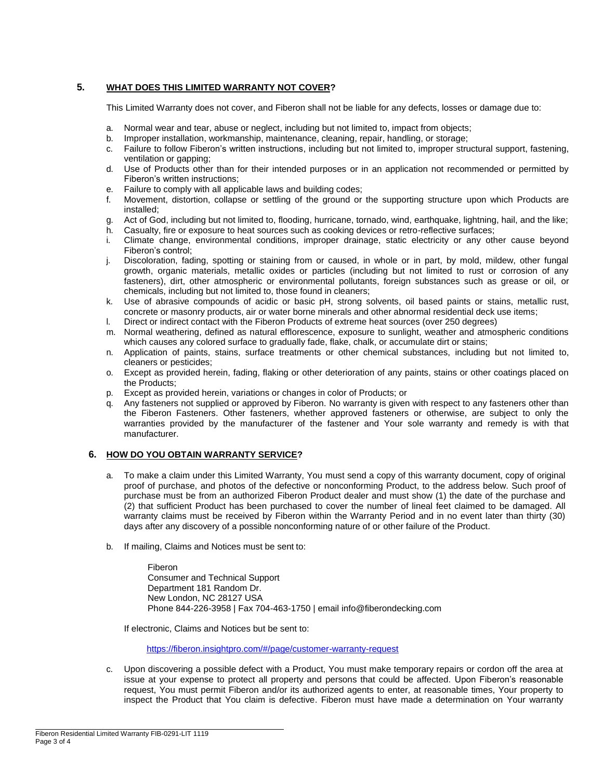## **5. WHAT DOES THIS LIMITED WARRANTY NOT COVER?**

This Limited Warranty does not cover, and Fiberon shall not be liable for any defects, losses or damage due to:

- a. Normal wear and tear, abuse or neglect, including but not limited to, impact from objects;
- b. Improper installation, workmanship, maintenance, cleaning, repair, handling, or storage;
- c. Failure to follow Fiberon's written instructions, including but not limited to, improper structural support, fastening, ventilation or gapping;
- d. Use of Products other than for their intended purposes or in an application not recommended or permitted by Fiberon's written instructions;
- e. Failure to comply with all applicable laws and building codes;
- f. Movement, distortion, collapse or settling of the ground or the supporting structure upon which Products are installed;
- g. Act of God, including but not limited to, flooding, hurricane, tornado, wind, earthquake, lightning, hail, and the like;
- h. Casualty, fire or exposure to heat sources such as cooking devices or retro-reflective surfaces;
- i. Climate change, environmental conditions, improper drainage, static electricity or any other cause beyond Fiberon's control;
- j. Discoloration, fading, spotting or staining from or caused, in whole or in part, by mold, mildew, other fungal growth, organic materials, metallic oxides or particles (including but not limited to rust or corrosion of any fasteners), dirt, other atmospheric or environmental pollutants, foreign substances such as grease or oil, or chemicals, including but not limited to, those found in cleaners;
- k. Use of abrasive compounds of acidic or basic pH, strong solvents, oil based paints or stains, metallic rust, concrete or masonry products, air or water borne minerals and other abnormal residential deck use items;
- l. Direct or indirect contact with the Fiberon Products of extreme heat sources (over 250 degrees)
- m. Normal weathering, defined as natural efflorescence, exposure to sunlight, weather and atmospheric conditions which causes any colored surface to gradually fade, flake, chalk, or accumulate dirt or stains;
- n. Application of paints, stains, surface treatments or other chemical substances, including but not limited to, cleaners or pesticides;
- o. Except as provided herein, fading, flaking or other deterioration of any paints, stains or other coatings placed on the Products;
- p. Except as provided herein, variations or changes in color of Products; or
- q. Any fasteners not supplied or approved by Fiberon. No warranty is given with respect to any fasteners other than the Fiberon Fasteners. Other fasteners, whether approved fasteners or otherwise, are subject to only the warranties provided by the manufacturer of the fastener and Your sole warranty and remedy is with that manufacturer.

## **6. HOW DO YOU OBTAIN WARRANTY SERVICE?**

- a. To make a claim under this Limited Warranty, You must send a copy of this warranty document, copy of original proof of purchase, and photos of the defective or nonconforming Product, to the address below. Such proof of purchase must be from an authorized Fiberon Product dealer and must show (1) the date of the purchase and (2) that sufficient Product has been purchased to cover the number of lineal feet claimed to be damaged. All warranty claims must be received by Fiberon within the Warranty Period and in no event later than thirty (30) days after any discovery of a possible nonconforming nature of or other failure of the Product.
- b. If mailing, Claims and Notices must be sent to:

Fiberon Consumer and Technical Support Department 181 Random Dr. New London, NC 28127 USA Phone 844-226-3958 | Fax 704-463-1750 | email [info@fiberondecking.com](mailto:info@fiberondecking.com)

If electronic, Claims and Notices but be sent to:

<https://fiberon.insightpro.com/#/page/customer-warranty-request>

c. Upon discovering a possible defect with a Product, You must make temporary repairs or cordon off the area at issue at your expense to protect all property and persons that could be affected. Upon Fiberon's reasonable request, You must permit Fiberon and/or its authorized agents to enter, at reasonable times, Your property to inspect the Product that You claim is defective. Fiberon must have made a determination on Your warranty